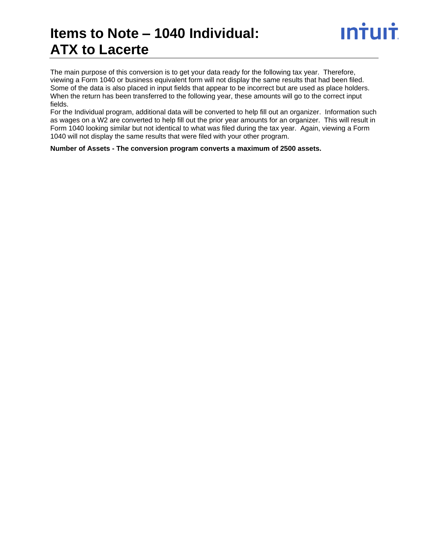### **Items to Note – 1040 Individual: ATX to Lacerte**

The main purpose of this conversion is to get your data ready for the following tax year. Therefore, viewing a Form 1040 or business equivalent form will not display the same results that had been filed. Some of the data is also placed in input fields that appear to be incorrect but are used as place holders. When the return has been transferred to the following year, these amounts will go to the correct input fields.

For the Individual program, additional data will be converted to help fill out an organizer. Information such as wages on a W2 are converted to help fill out the prior year amounts for an organizer. This will result in Form 1040 looking similar but not identical to what was filed during the tax year. Again, viewing a Form 1040 will not display the same results that were filed with your other program.

**Number of Assets - The conversion program converts a maximum of 2500 assets.**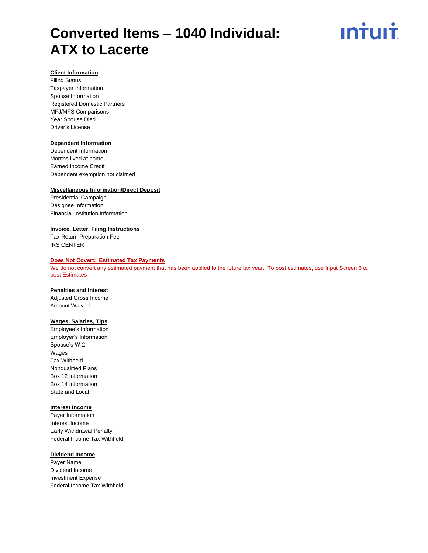

#### **Client Information**

Filing Status Taxpayer Information Spouse Information Registered Domestic Partners MFJ/MFS Comparisons Year Spouse Died Driver's License

#### **Dependent Information**

Dependent Information Months lived at home Earned Income Credit Dependent exemption not claimed

#### **Miscellaneous Information/Direct Deposit**

Presidential Campaign Designee Information Financial Institution Information

#### **Invoice, Letter, Filing Instructions**

Tax Return Preparation Fee IRS CENTER

#### **Does Not Covert: Estimated Tax Payments**

We do not convert any estimated payment that has been applied to the future tax year. To post estimates, use Input Screen 6 to post Estimates

#### **Penalties and Interest**

Adjusted Gross Income Amount Waived

#### **Wages, Salaries, Tips**

Employee's Information Employer's Information Spouse's W-2 Wages Tax Withheld Nonqualified Plans Box 12 Information Box 14 Information State and Local

#### **Interest Income**

Payer Information Interest Income Early Withdrawal Penalty Federal Income Tax Withheld

#### **Dividend Income**

Payer Name Dividend Income Investment Expense Federal Income Tax Withheld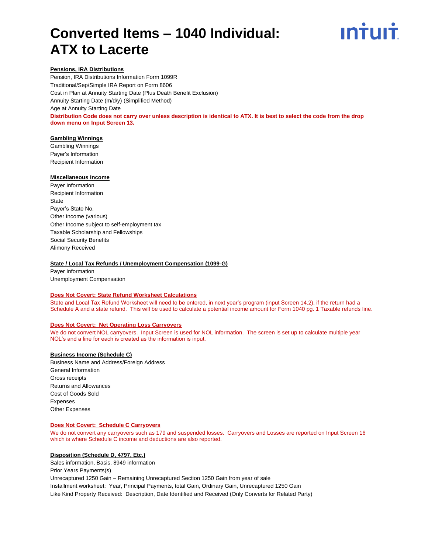

#### **Pensions, IRA Distributions**

Pension, IRA Distributions Information Form 1099R Traditional/Sep/Simple IRA Report on Form 8606 Cost in Plan at Annuity Starting Date (Plus Death Benefit Exclusion) Annuity Starting Date (m/d/y) (Simplified Method) Age at Annuity Starting Date **Distribution Code does not carry over unless description is identical to ATX. It is best to select the code from the drop down menu on Input Screen 13.**

#### **Gambling Winnings**

Gambling Winnings Payer's Information Recipient Information

#### **Miscellaneous Income**

Payer Information Recipient Information **State** Payer's State No. Other Income (various) Other Income subject to self-employment tax Taxable Scholarship and Fellowships Social Security Benefits Alimony Received

#### **State / Local Tax Refunds / Unemployment Compensation (1099-G)**

Payer Information Unemployment Compensation

#### **Does Not Covert: State Refund Worksheet Calculations**

State and Local Tax Refund Worksheet will need to be entered, in next year's program (input Screen 14.2), if the return had a Schedule A and a state refund. This will be used to calculate a potential income amount for Form 1040 pg. 1 Taxable refunds line.

#### **Does Not Covert: Net Operating Loss Carryovers**

We do not convert NOL carryovers. Input Screen is used for NOL information. The screen is set up to calculate multiple year NOL's and a line for each is created as the information is input.

#### **Business Income (Schedule C)**

Business Name and Address/Foreign Address General Information Gross receipts Returns and Allowances Cost of Goods Sold Expenses Other Expenses

#### **Does Not Covert: Schedule C Carryovers**

We do not convert any carryovers such as 179 and suspended losses. Carryovers and Losses are reported on Input Screen 16 which is where Schedule C income and deductions are also reported.

#### **Disposition (Schedule D, 4797, Etc.)**

Sales information, Basis, 8949 information

Prior Years Payments(s)

Unrecaptured 1250 Gain – Remaining Unrecaptured Section 1250 Gain from year of sale

Installment worksheet: Year, Principal Payments, total Gain, Ordinary Gain, Unrecaptured 1250 Gain Like Kind Property Received: Description, Date Identified and Received (Only Converts for Related Party)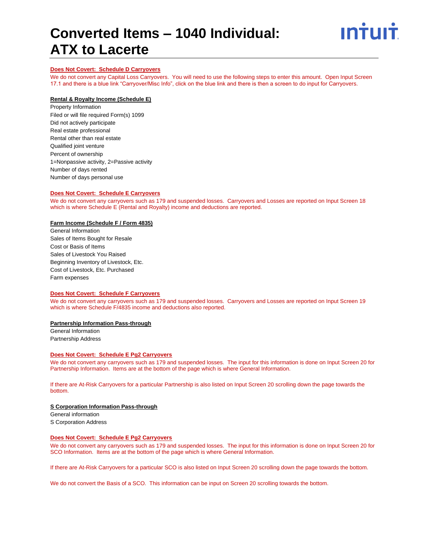

#### **Does Not Covert: Schedule D Carryovers**

We do not convert any Capital Loss Carryovers. You will need to use the following steps to enter this amount. Open Input Screen 17.1 and there is a blue link "Carryover/Misc Info", click on the blue link and there is then a screen to do input for Carryovers.

#### **Rental & Royalty Income (Schedule E)**

Property Information Filed or will file required Form(s) 1099 Did not actively participate Real estate professional Rental other than real estate Qualified joint venture Percent of ownership 1=Nonpassive activity, 2=Passive activity Number of days rented Number of days personal use

#### **Does Not Covert: Schedule E Carryovers**

We do not convert any carryovers such as 179 and suspended losses. Carryovers and Losses are reported on Input Screen 18 which is where Schedule E (Rental and Royalty) income and deductions are reported.

#### **Farm Income (Schedule F / Form 4835)**

General Information Sales of Items Bought for Resale Cost or Basis of Items Sales of Livestock You Raised Beginning Inventory of Livestock, Etc. Cost of Livestock, Etc. Purchased Farm expenses

#### **Does Not Covert: Schedule F Carryovers**

We do not convert any carryovers such as 179 and suspended losses. Carryovers and Losses are reported on Input Screen 19 which is where Schedule F/4835 income and deductions also reported.

#### **Partnership Information Pass-through**

General Information Partnership Address

#### **Does Not Covert: Schedule E Pg2 Carryovers**

We do not convert any carryovers such as 179 and suspended losses. The input for this information is done on Input Screen 20 for Partnership Information. Items are at the bottom of the page which is where General Information.

If there are At-Risk Carryovers for a particular Partnership is also listed on Input Screen 20 scrolling down the page towards the bottom.

#### **S Corporation Information Pass-through**

General information S Corporation Address

#### **Does Not Covert: Schedule E Pg2 Carryovers**

We do not convert any carryovers such as 179 and suspended losses. The input for this information is done on Input Screen 20 for SCO Information. Items are at the bottom of the page which is where General Information.

If there are At-Risk Carryovers for a particular SCO is also listed on Input Screen 20 scrolling down the page towards the bottom.

We do not convert the Basis of a SCO. This information can be input on Screen 20 scrolling towards the bottom.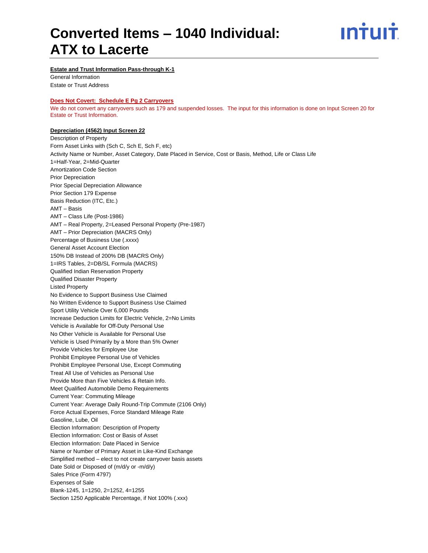

#### **Estate and Trust Information Pass-through K-1**

General Information Estate or Trust Address

#### **Does Not Covert: Schedule E Pg 2 Carryovers**

We do not convert any carryovers such as 179 and suspended losses. The input for this information is done on Input Screen 20 for Estate or Trust Information.

#### **Depreciation (4562) Input Screen 22**

Description of Property Form Asset Links with (Sch C, Sch E, Sch F, etc) Activity Name or Number, Asset Category, Date Placed in Service, Cost or Basis, Method, Life or Class Life 1=Half-Year, 2=Mid-Quarter Amortization Code Section Prior Depreciation Prior Special Depreciation Allowance Prior Section 179 Expense Basis Reduction (ITC, Etc.) AMT – Basis AMT – Class Life (Post-1986) AMT – Real Property, 2=Leased Personal Property (Pre-1987) AMT – Prior Depreciation (MACRS Only) Percentage of Business Use (.xxxx) General Asset Account Election 150% DB Instead of 200% DB (MACRS Only) 1=IRS Tables, 2=DB/SL Formula (MACRS) Qualified Indian Reservation Property Qualified Disaster Property Listed Property No Evidence to Support Business Use Claimed No Written Evidence to Support Business Use Claimed Sport Utility Vehicle Over 6,000 Pounds Increase Deduction Limits for Electric Vehicle, 2=No Limits Vehicle is Available for Off-Duty Personal Use No Other Vehicle is Available for Personal Use Vehicle is Used Primarily by a More than 5% Owner Provide Vehicles for Employee Use Prohibit Employee Personal Use of Vehicles Prohibit Employee Personal Use, Except Commuting Treat All Use of Vehicles as Personal Use Provide More than Five Vehicles & Retain Info. Meet Qualified Automobile Demo Requirements Current Year: Commuting Mileage Current Year: Average Daily Round-Trip Commute (2106 Only) Force Actual Expenses, Force Standard Mileage Rate Gasoline, Lube, Oil Election Information: Description of Property Election Information: Cost or Basis of Asset Election Information: Date Placed in Service Name or Number of Primary Asset in Like-Kind Exchange Simplified method – elect to not create carryover basis assets Date Sold or Disposed of (m/d/y or -m/d/y) Sales Price (Form 4797) Expenses of Sale Blank-1245, 1=1250, 2=1252, 4=1255 Section 1250 Applicable Percentage, if Not 100% (.xxx)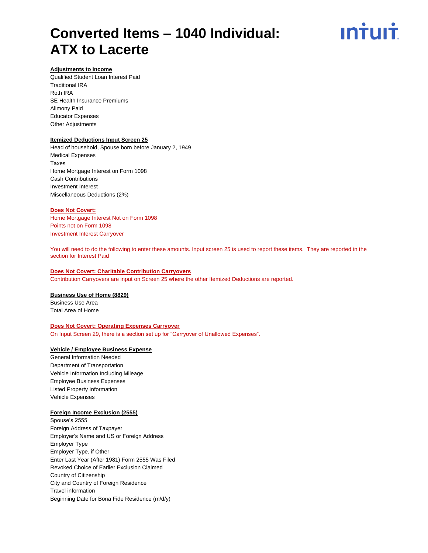

#### **Adjustments to Income**

Qualified Student Loan Interest Paid Traditional IRA Roth IRA SE Health Insurance Premiums Alimony Paid Educator Expenses Other Adjustments

#### **Itemized Deductions Input Screen 25**

Head of household, Spouse born before January 2, 1949 Medical Expenses Taxes Home Mortgage Interest on Form 1098 Cash Contributions Investment Interest Miscellaneous Deductions (2%)

#### **Does Not Covert:**

Home Mortgage Interest Not on Form 1098 Points not on Form 1098 Investment Interest Carryover

You will need to do the following to enter these amounts. Input screen 25 is used to report these items. They are reported in the section for Interest Paid

#### **Does Not Covert: Charitable Contribution Carryovers**

Contribution Carryovers are input on Screen 25 where the other Itemized Deductions are reported.

#### **Business Use of Home (8829)**

Business Use Area Total Area of Home

#### **Does Not Covert: Operating Expenses Carryover**

On Input Screen 29, there is a section set up for "Carryover of Unallowed Expenses".

#### **Vehicle / Employee Business Expense**

General Information Needed Department of Transportation Vehicle Information Including Mileage Employee Business Expenses Listed Property Information Vehicle Expenses

#### **Foreign Income Exclusion (2555)**

Spouse's 2555 Foreign Address of Taxpayer Employer's Name and US or Foreign Address Employer Type Employer Type, if Other Enter Last Year (After 1981) Form 2555 Was Filed Revoked Choice of Earlier Exclusion Claimed Country of Citizenship City and Country of Foreign Residence Travel information Beginning Date for Bona Fide Residence (m/d/y)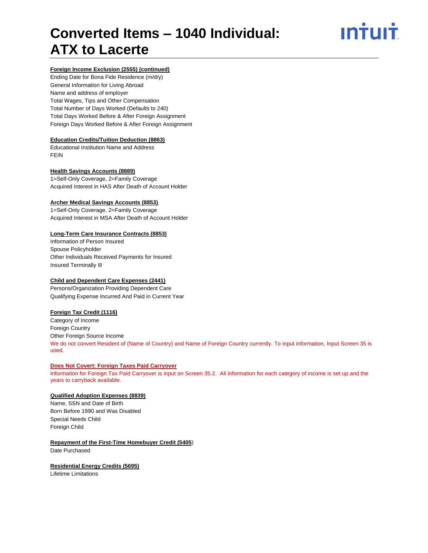#### **Foreign Income Exclusion (2555) (continued)**

Ending Date for Bona Fide Residence (m/d/y) General Information for Living Abroad Name and address of employer Total Wages, Tips and Other Compensation Total Number of Days Worked (Defaults to 240) Total Days Worked Before & After Foreign Assignment Foreign Days Worked Before & After Foreign Assignment

#### **Education Credits/Tuition Deduction (8863)**

Educational Institution Name and Address FEIN

#### **Health Savings Accounts (8889)**

1=Self-Only Coverage, 2=Family Coverage Acquired Interest in HAS After Death of Account Holder

#### **Archer Medical Savings Accounts (8853)**

1=Self-Only Coverage, 2=Family Coverage Acquired Interest in MSA After Death of Account Holder

#### **Long-Term Care Insurance Contracts (8853)**

Information of Person Insured Spouse Policyholder Other Individuals Received Payments for Insured Insured Terminally Ill

#### **Child and Dependent Care Expenses (2441)**

Persons/Organization Providing Dependent Care Qualifying Expense Incurred And Paid in Current Year

#### **Foreign Tax Credit (1116)**

Category of Income Foreign Country Other Foreign Source Income We do not convert Resident of (Name of Country) and Name of Foreign Country currently. To input information, Input Screen 35 is used.

#### **Does Not Covert: Foreign Taxes Paid Carryover**

Information for Foreign Tax Paid Carryover is input on Screen 35.2. All information for each category of income is set up and the years to carryback available.

#### **Qualified Adoption Expenses (8839)**

Name, SSN and Date of Birth Born Before 1990 and Was Disabled Special Needs Child Foreign Child

#### **Repayment of the First-Time Homebuyer Credit (5405**)

Date Purchased

#### **Residential Energy Credits (5695)**

Lifetime Limitations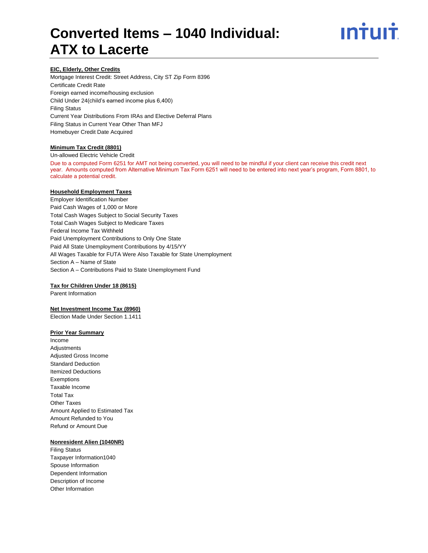

#### **EIC, Elderly, Other Credits**

Mortgage Interest Credit: Street Address, City ST Zip Form 8396 Certificate Credit Rate Foreign earned income/housing exclusion Child Under 24(child's earned income plus 6,400) Filing Status Current Year Distributions From IRAs and Elective Deferral Plans Filing Status in Current Year Other Than MFJ Homebuyer Credit Date Acquired

#### **Minimum Tax Credit (8801)**

Un-allowed Electric Vehicle Credit Due to a computed Form 6251 for AMT not being converted, you will need to be mindful if your client can receive this credit next year. Amounts computed from Alternative Minimum Tax Form 6251 will need to be entered into next year's program, Form 8801, to calculate a potential credit.

#### **Household Employment Taxes**

Employer Identification Number Paid Cash Wages of 1,000 or More Total Cash Wages Subject to Social Security Taxes Total Cash Wages Subject to Medicare Taxes Federal Income Tax Withheld Paid Unemployment Contributions to Only One State Paid All State Unemployment Contributions by 4/15/YY All Wages Taxable for FUTA Were Also Taxable for State Unemployment Section A – Name of State Section A – Contributions Paid to State Unemployment Fund

#### **Tax for Children Under 18 (8615)**

Parent Information

#### **Net Investment Income Tax (8960)**

Election Made Under Section 1.1411

#### **Prior Year Summary**

Income Adjustments Adjusted Gross Income Standard Deduction Itemized Deductions Exemptions Taxable Income Total Tax Other Taxes Amount Applied to Estimated Tax Amount Refunded to You Refund or Amount Due

#### **Nonresident Alien (1040NR)**

Filing Status Taxpayer Information1040 Spouse Information Dependent Information Description of Income Other Information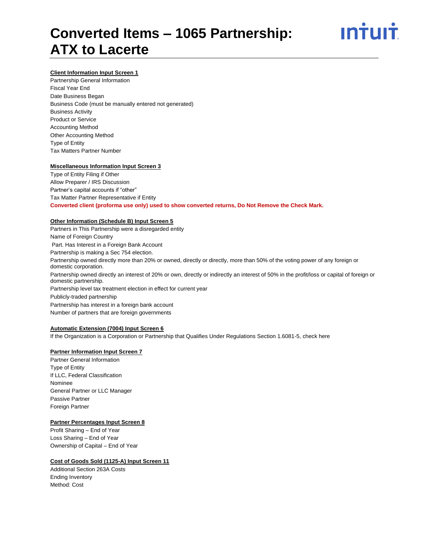

#### **Client Information Input Screen 1**

Partnership General Information Fiscal Year End Date Business Began Business Code (must be manually entered not generated) Business Activity Product or Service Accounting Method Other Accounting Method Type of Entity Tax Matters Partner Number

#### **Miscellaneous Information Input Screen 3**

Type of Entity Filing if Other Allow Preparer / IRS Discussion Partner's capital accounts if "other" Tax Matter Partner Representative if Entity **Converted client (proforma use only) used to show converted returns, Do Not Remove the Check Mark.**

#### **Other Information (Schedule B) Input Screen 5**

Partners in This Partnership were a disregarded entity Name of Foreign Country Part. Has Interest in a Foreign Bank Account Partnership is making a Sec 754 election. Partnership owned directly more than 20% or owned, directly or directly, more than 50% of the voting power of any foreign or domestic corporation. Partnership owned directly an interest of 20% or own, directly or indirectly an interest of 50% in the profit/loss or capital of foreign or domestic partnership. Partnership level tax treatment election in effect for current year Publicly-traded partnership Partnership has interest in a foreign bank account Number of partners that are foreign governments

#### **Automatic Extension (7004) Input Screen 6**

If the Organization is a Corporation or Partnership that Qualifies Under Regulations Section 1.6081-5, check here

#### **Partner Information Input Screen 7**

Partner General Information Type of Entity If LLC, Federal Classification Nominee General Partner or LLC Manager Passive Partner Foreign Partner

#### **Partner Percentages Input Screen 8**

Profit Sharing – End of Year Loss Sharing – End of Year Ownership of Capital – End of Year

#### **Cost of Goods Sold (1125-A) Input Screen 11**

Additional Section 263A Costs Ending Inventory Method: Cost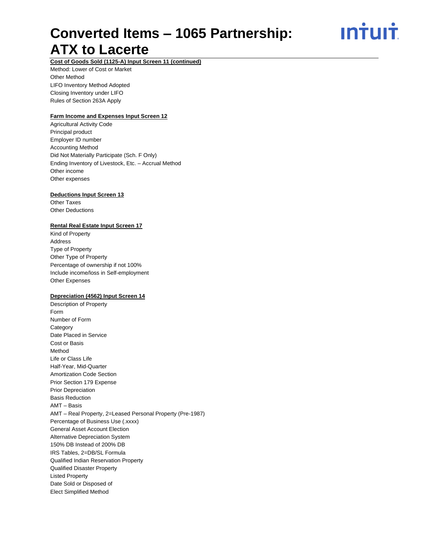ın<del>i</del>uı<del>i</del>

**Cost of Goods Sold (1125-A) Input Screen 11 (continued)**

Method: Lower of Cost or Market Other Method LIFO Inventory Method Adopted Closing Inventory under LIFO Rules of Section 263A Apply

#### **Farm Income and Expenses Input Screen 12**

Agricultural Activity Code Principal product Employer ID number Accounting Method Did Not Materially Participate (Sch. F Only) Ending Inventory of Livestock, Etc. – Accrual Method Other income Other expenses

#### **Deductions Input Screen 13**

Other Taxes Other Deductions

#### **Rental Real Estate Input Screen 17**

Kind of Property Address Type of Property Other Type of Property Percentage of ownership if not 100% Include income/loss in Self-employment Other Expenses

#### **Depreciation (4562) Input Screen 14**

Description of Property Form Number of Form **Category** Date Placed in Service Cost or Basis Method Life or Class Life Half-Year, Mid-Quarter Amortization Code Section Prior Section 179 Expense Prior Depreciation Basis Reduction AMT – Basis AMT – Real Property, 2=Leased Personal Property (Pre-1987) Percentage of Business Use (.xxxx) General Asset Account Election Alternative Depreciation System 150% DB Instead of 200% DB IRS Tables, 2=DB/SL Formula Qualified Indian Reservation Property Qualified Disaster Property Listed Property Date Sold or Disposed of Elect Simplified Method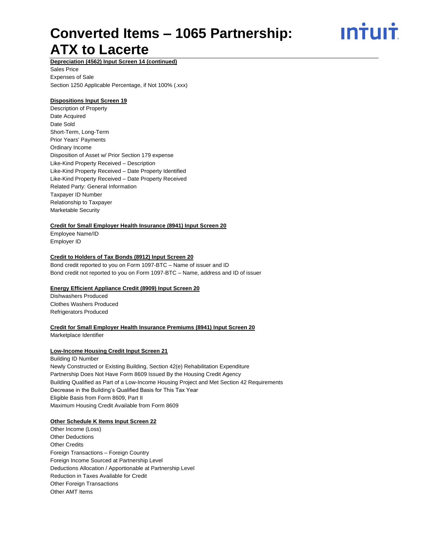ın†uı†

**Depreciation (4562) Input Screen 14 (continued)**

Sales Price Expenses of Sale Section 1250 Applicable Percentage, if Not 100% (.xxx)

#### **Dispositions Input Screen 19**

Description of Property Date Acquired Date Sold Short-Term, Long-Term Prior Years' Payments Ordinary Income Disposition of Asset w/ Prior Section 179 expense Like-Kind Property Received – Description Like-Kind Property Received – Date Property Identified Like-Kind Property Received – Date Property Received Related Party: General Information Taxpayer ID Number Relationship to Taxpayer Marketable Security

#### **Credit for Small Employer Health Insurance (8941) Input Screen 20**

Employee Name/ID Employer ID

#### **Credit to Holders of Tax Bonds (8912) Input Screen 20**

Bond credit reported to you on Form 1097-BTC – Name of issuer and ID Bond credit not reported to you on Form 1097-BTC – Name, address and ID of issuer

#### **Energy Efficient Appliance Credit (8909) Input Screen 20**

Dishwashers Produced Clothes Washers Produced Refrigerators Produced

**Credit for Small Employer Health Insurance Premiums (8941) Input Screen 20**

Marketplace Identifier

#### **Low-Income Housing Credit Input Screen 21**

Building ID Number Newly Constructed or Existing Building, Section 42(e) Rehabilitation Expenditure Partnership Does Not Have Form 8609 Issued By the Housing Credit Agency Building Qualified as Part of a Low-Income Housing Project and Met Section 42 Requirements Decrease in the Building's Qualified Basis for This Tax Year Eligible Basis from Form 8609, Part II Maximum Housing Credit Available from Form 8609

#### **Other Schedule K Items Input Screen 22**

Other Income (Loss) Other Deductions Other Credits Foreign Transactions – Foreign Country Foreign Income Sourced at Partnership Level Deductions Allocation / Apportionable at Partnership Level Reduction in Taxes Available for Credit Other Foreign Transactions Other AMT Items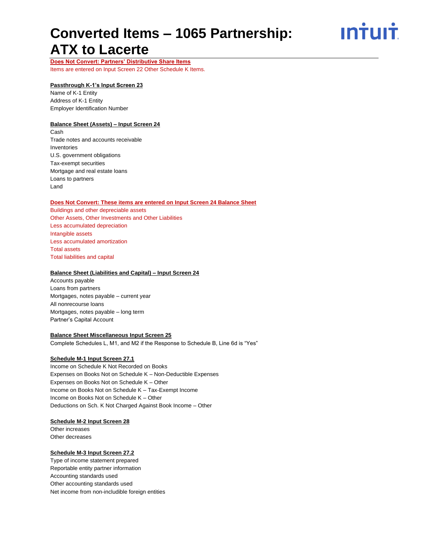ın<del>i</del>uı<del>i</del>

**Does Not Convert: Partners' Distributive Share Items** Items are entered on Input Screen 22 Other Schedule K Items.

#### **Passthrough K-1's Input Screen 23**

Name of K-1 Entity Address of K-1 Entity Employer Identification Number

#### **Balance Sheet (Assets) – Input Screen 24**

Cash Trade notes and accounts receivable Inventories U.S. government obligations Tax-exempt securities Mortgage and real estate loans Loans to partners Land

#### **Does Not Convert: These items are entered on Input Screen 24 Balance Sheet**

Buildings and other depreciable assets Other Assets, Other Investments and Other Liabilities Less accumulated depreciation Intangible assets Less accumulated amortization Total assets Total liabilities and capital

#### **Balance Sheet (Liabilities and Capital) – Input Screen 24**

Accounts payable Loans from partners Mortgages, notes payable – current year All nonrecourse loans Mortgages, notes payable – long term Partner's Capital Account

#### **Balance Sheet Miscellaneous Input Screen 25**

Complete Schedules L, M1, and M2 if the Response to Schedule B, Line 6d is "Yes"

#### **Schedule M-1 Input Screen 27.1**

Income on Schedule K Not Recorded on Books Expenses on Books Not on Schedule K – Non-Deductible Expenses Expenses on Books Not on Schedule K – Other Income on Books Not on Schedule K – Tax-Exempt Income Income on Books Not on Schedule K – Other Deductions on Sch. K Not Charged Against Book Income – Other

#### **Schedule M-2 Input Screen 28**

Other increases Other decreases

#### **Schedule M-3 Input Screen 27.2**

Type of income statement prepared Reportable entity partner information Accounting standards used Other accounting standards used Net income from non-includible foreign entities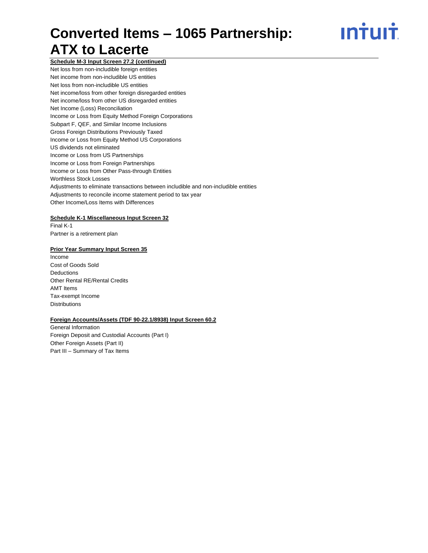<u>ıntuıt</u>

**Schedule M-3 Input Screen 27.2 (continued)** Net loss from non-includible foreign entities Net income from non-includible US entities Net loss from non-includible US entities Net income/loss from other foreign disregarded entities Net income/loss from other US disregarded entities Net Income (Loss) Reconciliation Income or Loss from Equity Method Foreign Corporations Subpart F, QEF, and Similar Income Inclusions Gross Foreign Distributions Previously Taxed Income or Loss from Equity Method US Corporations US dividends not eliminated Income or Loss from US Partnerships Income or Loss from Foreign Partnerships Income or Loss from Other Pass-through Entities Worthless Stock Losses Adjustments to eliminate transactions between includible and non-includible entities Adjustments to reconcile income statement period to tax year Other Income/Loss Items with Differences

#### **Schedule K-1 Miscellaneous Input Screen 32**

Final K-1 Partner is a retirement plan

#### **Prior Year Summary Input Screen 35**

Income Cost of Goods Sold Deductions Other Rental RE/Rental Credits AMT Items Tax-exempt Income **Distributions** 

#### **Foreign Accounts/Assets (TDF 90-22.1/8938) Input Screen 60.2**

General Information Foreign Deposit and Custodial Accounts (Part I) Other Foreign Assets (Part II) Part III – Summary of Tax Items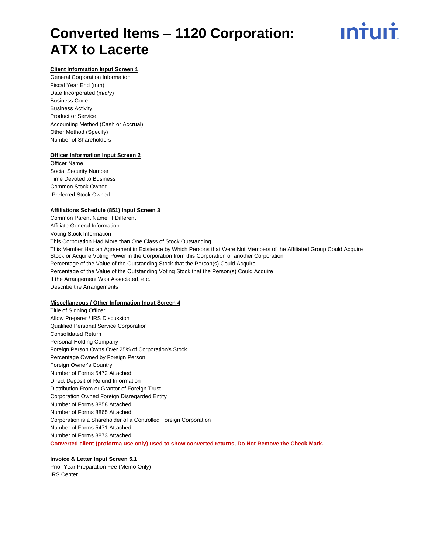#### **Client Information Input Screen 1**

General Corporation Information Fiscal Year End (mm) Date Incorporated (m/d/y) Business Code Business Activity Product or Service Accounting Method (Cash or Accrual) Other Method (Specify) Number of Shareholders

#### **Officer Information Input Screen 2**

Officer Name Social Security Number Time Devoted to Business Common Stock Owned Preferred Stock Owned

#### **Affiliations Schedule (851) Input Screen 3**

Common Parent Name, if Different Affiliate General Information Voting Stock Information This Corporation Had More than One Class of Stock Outstanding This Member Had an Agreement in Existence by Which Persons that Were Not Members of the Affiliated Group Could Acquire Stock or Acquire Voting Power in the Corporation from this Corporation or another Corporation Percentage of the Value of the Outstanding Stock that the Person(s) Could Acquire Percentage of the Value of the Outstanding Voting Stock that the Person(s) Could Acquire If the Arrangement Was Associated, etc. Describe the Arrangements

#### **Miscellaneous / Other Information Input Screen 4**

Title of Signing Officer Allow Preparer / IRS Discussion Qualified Personal Service Corporation Consolidated Return Personal Holding Company Foreign Person Owns Over 25% of Corporation's Stock Percentage Owned by Foreign Person Foreign Owner's Country Number of Forms 5472 Attached Direct Deposit of Refund Information Distribution From or Grantor of Foreign Trust Corporation Owned Foreign Disregarded Entity Number of Forms 8858 Attached Number of Forms 8865 Attached Corporation is a Shareholder of a Controlled Foreign Corporation Number of Forms 5471 Attached Number of Forms 8873 Attached **Converted client (proforma use only) used to show converted returns, Do Not Remove the Check Mark.**

#### **Invoice & Letter Input Screen 5.1**

Prior Year Preparation Fee (Memo Only) IRS Center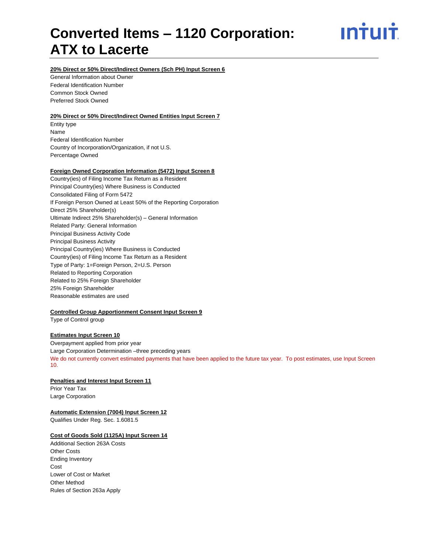ın<del>i</del>uı<del>i</del>

#### **20% Direct or 50% Direct/Indirect Owners (Sch PH) Input Screen 6**

General Information about Owner Federal Identification Number Common Stock Owned Preferred Stock Owned

#### **20% Direct or 50% Direct/Indirect Owned Entities Input Screen 7**

Entity type Name Federal Identification Number Country of Incorporation/Organization, if not U.S. Percentage Owned

#### **Foreign Owned Corporation Information (5472) Input Screen 8**

Country(ies) of Filing Income Tax Return as a Resident Principal Country(ies) Where Business is Conducted Consolidated Filing of Form 5472 If Foreign Person Owned at Least 50% of the Reporting Corporation Direct 25% Shareholder(s) Ultimate Indirect 25% Shareholder(s) – General Information Related Party: General Information Principal Business Activity Code Principal Business Activity Principal Country(ies) Where Business is Conducted Country(ies) of Filing Income Tax Return as a Resident Type of Party: 1=Foreign Person, 2=U.S. Person Related to Reporting Corporation Related to 25% Foreign Shareholder 25% Foreign Shareholder Reasonable estimates are used

#### **Controlled Group Apportionment Consent Input Screen 9**

Type of Control group

#### **Estimates Input Screen 10**

Overpayment applied from prior year Large Corporation Determination –three preceding years We do not currently convert estimated payments that have been applied to the future tax year. To post estimates, use Input Screen 10.

#### **Penalties and Interest Input Screen 11**

Prior Year Tax Large Corporation

#### **Automatic Extension (7004) Input Screen 12**

Qualifies Under Reg. Sec. 1.6081.5

#### **Cost of Goods Sold (1125A) Input Screen 14**

Additional Section 263A Costs Other Costs Ending Inventory **Cost** Lower of Cost or Market Other Method Rules of Section 263a Apply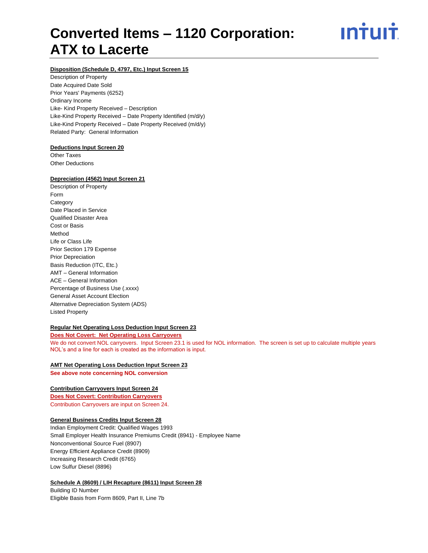ın<del>i</del>uı<del>i</del>

#### **Disposition (Schedule D, 4797, Etc.) Input Screen 15**

Description of Property Date Acquired Date Sold Prior Years' Payments (6252) Ordinary Income Like- Kind Property Received – Description Like-Kind Property Received – Date Property Identified (m/d/y) Like-Kind Property Received – Date Property Received (m/d/y) Related Party: General Information

#### **Deductions Input Screen 20**

Other Taxes Other Deductions

#### **Depreciation (4562) Input Screen 21**

Description of Property Form **Category** Date Placed in Service Qualified Disaster Area Cost or Basis Method Life or Class Life Prior Section 179 Expense Prior Depreciation Basis Reduction (ITC, Etc.) AMT – General Information ACE – General Information Percentage of Business Use (.xxxx) General Asset Account Election Alternative Depreciation System (ADS) Listed Property

#### **Regular Net Operating Loss Deduction Input Screen 23**

**Does Not Covert: Net Operating Loss Carryovers** We do not convert NOL carryovers. Input Screen 23.1 is used for NOL information. The screen is set up to calculate multiple years NOL's and a line for each is created as the information is input.

#### **AMT Net Operating Loss Deduction Input Screen 23**

**See above note concerning NOL conversion**

#### **Contribution Carryovers Input Screen 24**

**Does Not Covert: Contribution Carryovers** Contribution Carryovers are input on Screen 24.

#### **General Business Credits Input Screen 28**

Indian Employment Credit: Qualified Wages 1993 Small Employer Health Insurance Premiums Credit (8941) - Employee Name Nonconventional Source Fuel (8907) Energy Efficient Appliance Credit (8909) Increasing Research Credit (6765) Low Sulfur Diesel (8896)

#### **Schedule A (8609) / LIH Recapture (8611) Input Screen 28**

Building ID Number Eligible Basis from Form 8609, Part II, Line 7b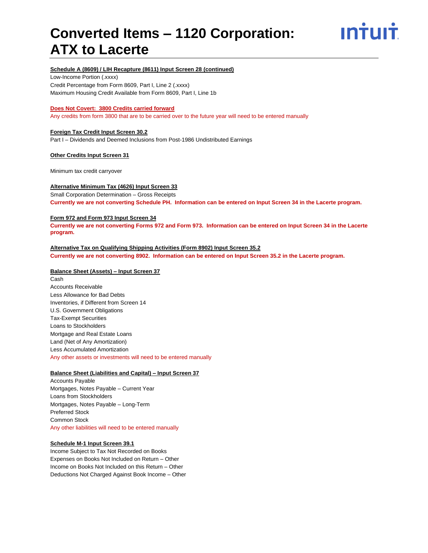

#### **Schedule A (8609) / LIH Recapture (8611) Input Screen 28 (continued)**

Low-Income Portion (.xxxx) Credit Percentage from Form 8609, Part I, Line 2 (.xxxx) Maximum Housing Credit Available from Form 8609, Part I, Line 1b

#### **Does Not Covert: 3800 Credits carried forward**

Any credits from form 3800 that are to be carried over to the future year will need to be entered manually

#### **Foreign Tax Credit Input Screen 30.2**

Part I – Dividends and Deemed Inclusions from Post-1986 Undistributed Earnings

#### **Other Credits Input Screen 31**

Minimum tax credit carryover

#### **Alternative Minimum Tax (4626) Input Screen 33**

Small Corporation Determination – Gross Receipts **Currently we are not converting Schedule PH. Information can be entered on Input Screen 34 in the Lacerte program.**

#### **Form 972 and Form 973 Input Screen 34**

**Currently we are not converting Forms 972 and Form 973. Information can be entered on Input Screen 34 in the Lacerte program.**

#### **Alternative Tax on Qualifying Shipping Activities (Form 8902) Input Screen 35.2**

**Currently we are not converting 8902. Information can be entered on Input Screen 35.2 in the Lacerte program.**

#### **Balance Sheet (Assets) – Input Screen 37**

Cash Accounts Receivable Less Allowance for Bad Debts Inventories, if Different from Screen 14 U.S. Government Obligations Tax-Exempt Securities Loans to Stockholders Mortgage and Real Estate Loans Land (Net of Any Amortization) Less Accumulated Amortization Any other assets or investments will need to be entered manually

#### **Balance Sheet (Liabilities and Capital) – Input Screen 37**

Accounts Payable Mortgages, Notes Payable – Current Year Loans from Stockholders Mortgages, Notes Payable – Long-Term Preferred Stock Common Stock Any other liabilities will need to be entered manually

#### **Schedule M-1 Input Screen 39.1**

Income Subject to Tax Not Recorded on Books Expenses on Books Not Included on Return – Other Income on Books Not Included on this Return – Other Deductions Not Charged Against Book Income – Other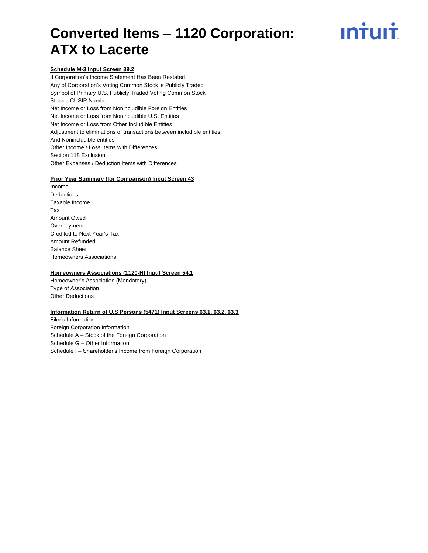# ın†uı†

#### **Schedule M-3 Input Screen 39.2**

If Corporation's Income Statement Has Been Restated Any of Corporation's Voting Common Stock is Publicly Traded Symbol of Primary U.S. Publicly Traded Voting Common Stock Stock's CUSIP Number Net Income or Loss from Nonincludible Foreign Entities Net Income or Loss from Nonincludible U.S. Entities Net Income or Loss from Other Includible Entities Adjustment to eliminations of transactions between includible entities And Nonincludible entities Other Income / Loss Items with Differences Section 118 Exclusion Other Expenses / Deduction Items with Differences

#### **Prior Year Summary (for Comparison) Input Screen 43**

Income Deductions Taxable Income Tax Amount Owed Overpayment Credited to Next Year's Tax Amount Refunded Balance Sheet Homeowners Associations

#### **Homeowners Associations (1120-H) Input Screen 54.1**

Homeowner's Association (Mandatory) Type of Association Other Deductions

#### **Information Return of U.S Persons (5471) Input Screens 63.1, 63.2, 63.3**

Filer's Information Foreign Corporation Information Schedule A – Stock of the Foreign Corporation Schedule G – Other Information Schedule I – Shareholder's Income from Foreign Corporation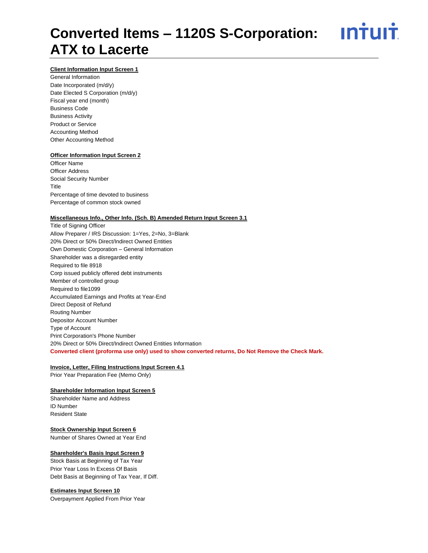### <u>**Intuit**</u> **Converted Items – 1120S S-Corporation: ATX to Lacerte**

#### **Client Information Input Screen 1**

General Information Date Incorporated (m/d/y) Date Elected S Corporation (m/d/y) Fiscal year end (month) Business Code Business Activity Product or Service Accounting Method Other Accounting Method

#### **Officer Information Input Screen 2**

Officer Name Officer Address Social Security Number Title Percentage of time devoted to business Percentage of common stock owned

#### **Miscellaneous Info., Other Info. (Sch. B) Amended Return Input Screen 3.1**

Title of Signing Officer Allow Preparer / IRS Discussion: 1=Yes, 2=No, 3=Blank 20% Direct or 50% Direct/Indirect Owned Entities Own Domestic Corporation – General Information Shareholder was a disregarded entity Required to file 8918 Corp issued publicly offered debt instruments Member of controlled group Required to file1099 Accumulated Earnings and Profits at Year-End Direct Deposit of Refund Routing Number Depositor Account Number Type of Account Print Corporation's Phone Number 20% Direct or 50% Direct/Indirect Owned Entities Information **Converted client (proforma use only) used to show converted returns, Do Not Remove the Check Mark.**

#### **Invoice, Letter, Filing Instructions Input Screen 4.1**

Prior Year Preparation Fee (Memo Only)

#### **Shareholder Information Input Screen 5**

Shareholder Name and Address ID Number Resident State

#### **Stock Ownership Input Screen 6**

Number of Shares Owned at Year End

#### **Shareholder's Basis Input Screen 9**

Stock Basis at Beginning of Tax Year Prior Year Loss In Excess Of Basis Debt Basis at Beginning of Tax Year, If Diff.

#### **Estimates Input Screen 10**

Overpayment Applied From Prior Year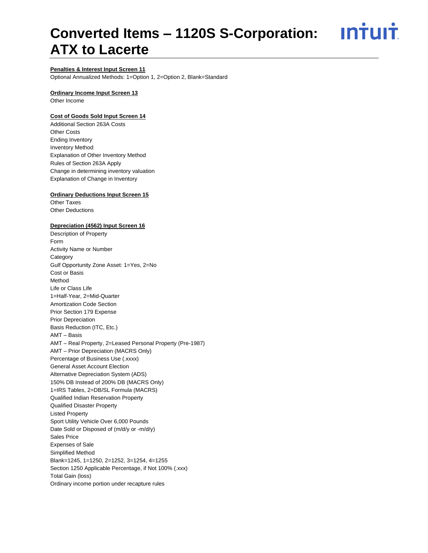**Intuit** 

#### **Penalties & Interest Input Screen 11**

Optional Annualized Methods: 1=Option 1, 2=Option 2, Blank=Standard

#### **Ordinary Income Input Screen 13**

Other Income

#### **Cost of Goods Sold Input Screen 14**

Additional Section 263A Costs Other Costs Ending Inventory Inventory Method Explanation of Other Inventory Method Rules of Section 263A Apply Change in determining inventory valuation Explanation of Change in Inventory

#### **Ordinary Deductions Input Screen 15**

Other Taxes Other Deductions

#### **Depreciation (4562) Input Screen 16**

Description of Property Form Activity Name or Number **Category** Gulf Opportunity Zone Asset: 1=Yes, 2=No Cost or Basis Method Life or Class Life 1=Half-Year, 2=Mid-Quarter Amortization Code Section Prior Section 179 Expense Prior Depreciation Basis Reduction (ITC, Etc.) AMT – Basis AMT – Real Property, 2=Leased Personal Property (Pre-1987) AMT – Prior Depreciation (MACRS Only) Percentage of Business Use (.xxxx) General Asset Account Election Alternative Depreciation System (ADS) 150% DB Instead of 200% DB (MACRS Only) 1=IRS Tables, 2=DB/SL Formula (MACRS) Qualified Indian Reservation Property Qualified Disaster Property Listed Property Sport Utility Vehicle Over 6,000 Pounds Date Sold or Disposed of (m/d/y or -m/d/y) Sales Price Expenses of Sale Simplified Method Blank=1245, 1=1250, 2=1252, 3=1254, 4=1255 Section 1250 Applicable Percentage, if Not 100% (.xxx) Total Gain (loss) Ordinary income portion under recapture rules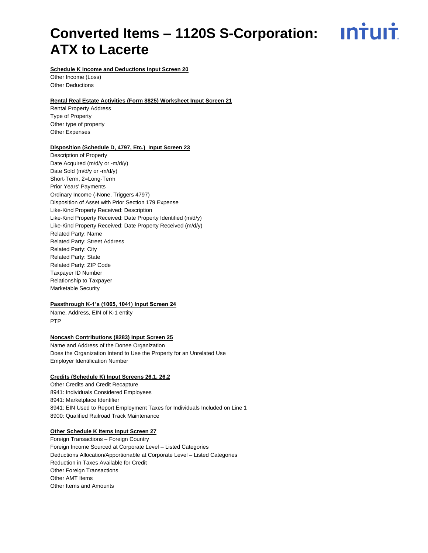<u>**Intuit**</u>

#### **Schedule K Income and Deductions Input Screen 20**

Other Income (Loss) Other Deductions

#### **Rental Real Estate Activities (Form 8825) Worksheet Input Screen 21**

Rental Property Address Type of Property Other type of property Other Expenses

#### **Disposition (Schedule D, 4797, Etc.) Input Screen 23**

Description of Property Date Acquired (m/d/y or -m/d/y) Date Sold (m/d/y or -m/d/y) Short-Term, 2=Long-Term Prior Years' Payments Ordinary Income (-None, Triggers 4797) Disposition of Asset with Prior Section 179 Expense Like-Kind Property Received: Description Like-Kind Property Received: Date Property Identified (m/d/y) Like-Kind Property Received: Date Property Received (m/d/y) Related Party: Name Related Party: Street Address Related Party: City Related Party: State Related Party: ZIP Code Taxpayer ID Number Relationship to Taxpayer Marketable Security

#### **Passthrough K-1's (1065, 1041) Input Screen 24**

Name, Address, EIN of K-1 entity PTP

#### **Noncash Contributions (8283) Input Screen 25**

Name and Address of the Donee Organization Does the Organization Intend to Use the Property for an Unrelated Use Employer Identification Number

#### **Credits (Schedule K) Input Screens 26.1, 26.2**

Other Credits and Credit Recapture 8941: Individuals Considered Employees 8941: Marketplace Identifier 8941: EIN Used to Report Employment Taxes for Individuals Included on Line 1 8900: Qualified Railroad Track Maintenance

#### **Other Schedule K Items Input Screen 27**

Foreign Transactions – Foreign Country Foreign Income Sourced at Corporate Level – Listed Categories Deductions Allocation/Apportionable at Corporate Level – Listed Categories Reduction in Taxes Available for Credit **Other Foreign Transactions** Other AMT Items Other Items and Amounts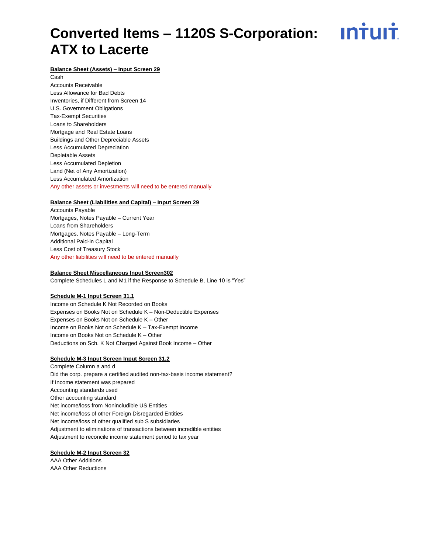### <u>ıntuıt</u> **Converted Items – 1120S S-Corporation: ATX to Lacerte**

#### **Balance Sheet (Assets) – Input Screen 29**

Cash Accounts Receivable Less Allowance for Bad Debts Inventories, if Different from Screen 14 U.S. Government Obligations Tax-Exempt Securities Loans to Shareholders Mortgage and Real Estate Loans Buildings and Other Depreciable Assets Less Accumulated Depreciation Depletable Assets Less Accumulated Depletion Land (Net of Any Amortization) Less Accumulated Amortization Any other assets or investments will need to be entered manually

#### **Balance Sheet (Liabilities and Capital) – Input Screen 29**

Accounts Payable Mortgages, Notes Payable – Current Year Loans from Shareholders Mortgages, Notes Payable – Long-Term Additional Paid-in Capital Less Cost of Treasury Stock Any other liabilities will need to be entered manually

#### **Balance Sheet Miscellaneous Input Screen302**

Complete Schedules L and M1 if the Response to Schedule B, Line 10 is "Yes"

#### **Schedule M-1 Input Screen 31.1**

Income on Schedule K Not Recorded on Books Expenses on Books Not on Schedule K – Non-Deductible Expenses Expenses on Books Not on Schedule K – Other Income on Books Not on Schedule K – Tax-Exempt Income Income on Books Not on Schedule K – Other Deductions on Sch. K Not Charged Against Book Income – Other

#### **Schedule M-3 Input Screen Input Screen 31.2**

Complete Column a and d Did the corp. prepare a certified audited non-tax-basis income statement? If Income statement was prepared Accounting standards used Other accounting standard Net income/loss from Nonincludible US Entities Net income/loss of other Foreign Disregarded Entities Net income/loss of other qualified sub S subsidiaries Adjustment to eliminations of transactions between incredible entities Adjustment to reconcile income statement period to tax year

#### **Schedule M-2 Input Screen 32**

AAA Other Additions AAA Other Reductions